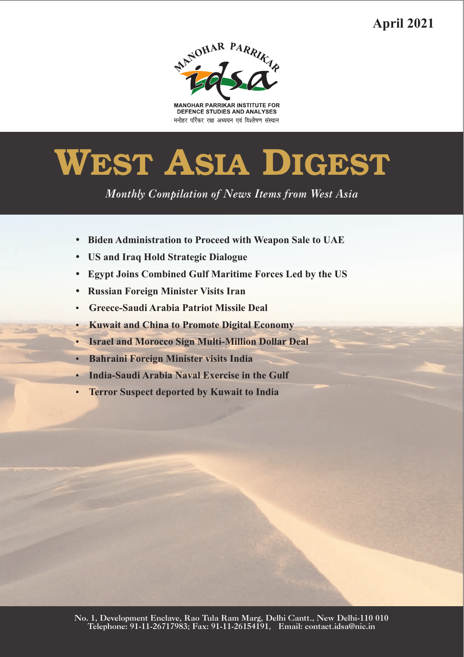**April 2021**



**MANOHAR PARRIKAR INSTITUTE FOR** DEFENCE STUDIES AND ANALYSES मनोहर पर्रिकर रक्षा अध्ययन एवं विश्लेषण संस्थान

# **WEST ASIA DIGEST**

*Monthly Compilation of News Items from West Asia* 

- Biden Administration to Proceed with Weapon Sale to UAE<br>• US and Iraq Hold Strategic Dialogue
- 
- ?**US and Iraq Hold Strategic Dialogue** ?**Egypt Joins Combined Gulf Maritime Forces Led by the US**
- 
- ?**Russian Foreign Minister Visits Iran**
- **Kuwait and China to Promote Digital Economy**
- ?**Kuwait and China to Promote Digital Economy** ?**Israel and Morocco Sign Multi-Million Dollar Deal**
- 
- ?**Bahraini Foreign Minister visits India**
- ?**India-Saudi Arabia Naval Exercise in the Gulf Terror Suspect deported by Kuwait to India**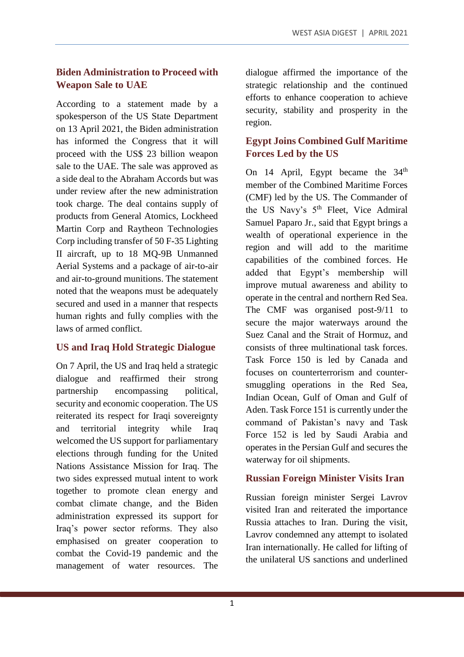#### **Biden Administration to Proceed with Weapon Sale to UAE**

According to a statement made by a spokesperson of the US State Department on 13 April 2021, the Biden administration has informed the Congress that it will proceed with the US\$ 23 billion weapon sale to the UAE. The sale was approved as a side deal to the Abraham Accords but was under review after the new administration took charge. The deal contains supply of products from General Atomics, Lockheed Martin Corp and Raytheon Technologies Corp including transfer of 50 F-35 Lighting II aircraft, up to 18 MQ-9B Unmanned Aerial Systems and a package of air-to-air and air-to-ground munitions. The statement noted that the weapons must be adequately secured and used in a manner that respects human rights and fully complies with the laws of armed conflict.

#### **US and Iraq Hold Strategic Dialogue**

On 7 April, the US and Iraq held a strategic dialogue and reaffirmed their strong partnership encompassing political, security and economic cooperation. The US reiterated its respect for Iraqi sovereignty and territorial integrity while Iraq welcomed the US support for parliamentary elections through funding for the United Nations Assistance Mission for Iraq. The two sides expressed mutual intent to work together to promote clean energy and combat climate change, and the Biden administration expressed its support for Iraq's power sector reforms. They also emphasised on greater cooperation to combat the Covid-19 pandemic and the management of water resources. The

dialogue affirmed the importance of the strategic relationship and the continued efforts to enhance cooperation to achieve security, stability and prosperity in the region.

#### **Egypt Joins Combined Gulf Maritime Forces Led by the US**

On 14 April, Egypt became the 34<sup>th</sup> member of the Combined Maritime Forces (CMF) led by the US. The Commander of the US Navy's 5<sup>th</sup> Fleet, Vice Admiral Samuel Paparo Jr., said that Egypt brings a wealth of operational experience in the region and will add to the maritime capabilities of the combined forces. He added that Egypt's membership will improve mutual awareness and ability to operate in the central and northern Red Sea. The CMF was organised post-9/11 to secure the major waterways around the Suez Canal and the Strait of Hormuz, and consists of three multinational task forces. Task Force 150 is led by Canada and focuses on counterterrorism and countersmuggling operations in the Red Sea, Indian Ocean, Gulf of Oman and Gulf of Aden. Task Force 151 is currently under the command of Pakistan's navy and Task Force 152 is led by Saudi Arabia and operates in the Persian Gulf and secures the waterway for oil shipments.

#### **Russian Foreign Minister Visits Iran**

Russian foreign minister Sergei Lavrov visited Iran and reiterated the importance Russia attaches to Iran. During the visit, Lavrov condemned any attempt to isolated Iran internationally. He called for lifting of the unilateral US sanctions and underlined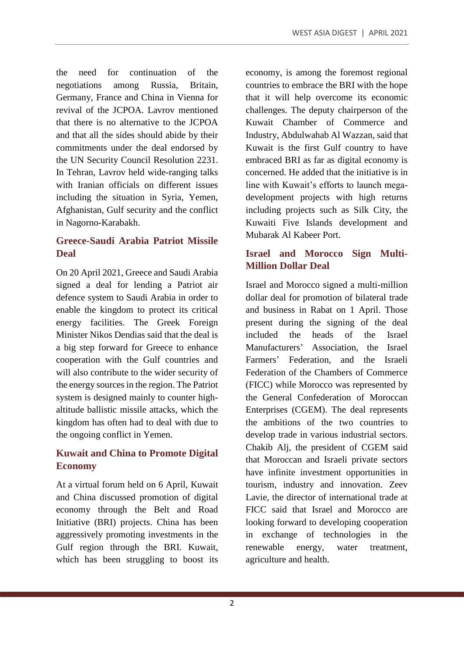the need for continuation of the negotiations among Russia, Britain, Germany, France and China in Vienna for revival of the JCPOA. Lavrov mentioned that there is no alternative to the JCPOA and that all the sides should abide by their commitments under the deal endorsed by the UN Security Council Resolution 2231. In Tehran, Lavrov held wide-ranging talks with Iranian officials on different issues including the situation in Syria, Yemen, Afghanistan, Gulf security and the conflict in Nagorno-Karabakh.

## **Greece-Saudi Arabia Patriot Missile Deal**

On 20 April 2021, Greece and Saudi Arabia signed a deal for lending a Patriot air defence system to Saudi Arabia in order to enable the kingdom to protect its critical energy facilities. The Greek Foreign Minister Nikos Dendias said that the deal is a big step forward for Greece to enhance cooperation with the Gulf countries and will also contribute to the wider security of the energy sources in the region. The Patriot system is designed mainly to counter highaltitude ballistic missile attacks, which the kingdom has often had to deal with due to the ongoing conflict in Yemen.

## **Kuwait and China to Promote Digital Economy**

At a virtual forum held on 6 April, Kuwait and China discussed promotion of digital economy through the Belt and Road Initiative (BRI) projects. China has been aggressively promoting investments in the Gulf region through the BRI. Kuwait, which has been struggling to boost its

economy, is among the foremost regional countries to embrace the BRI with the hope that it will help overcome its economic challenges. The deputy chairperson of the Kuwait Chamber of Commerce and Industry, Abdulwahab Al Wazzan, said that Kuwait is the first Gulf country to have embraced BRI as far as digital economy is concerned. He added that the initiative is in line with Kuwait's efforts to launch megadevelopment projects with high returns including projects such as Silk City, the Kuwaiti Five Islands development and Mubarak Al Kabeer Port.

## **Israel and Morocco Sign Multi-Million Dollar Deal**

Israel and Morocco signed a multi-million dollar deal for promotion of bilateral trade and business in Rabat on 1 April. Those present during the signing of the deal included the heads of the Israel Manufacturers' Association, the Israel Farmers' Federation, and the Israeli Federation of the Chambers of Commerce (FICC) while Morocco was represented by the General Confederation of Moroccan Enterprises (CGEM). The deal represents the ambitions of the two countries to develop trade in various industrial sectors. Chakib Alj, the president of CGEM said that Moroccan and Israeli private sectors have infinite investment opportunities in tourism, industry and innovation. Zeev Lavie, the director of international trade at FICC said that Israel and Morocco are looking forward to developing cooperation in exchange of technologies in the renewable energy, water treatment, agriculture and health.